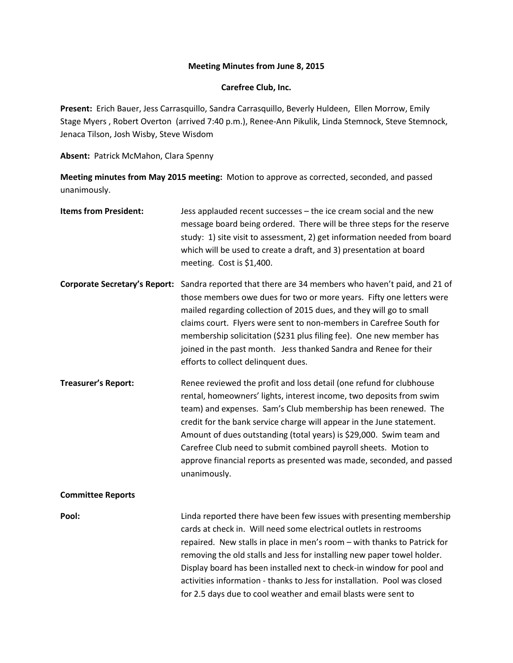## **Meeting Minutes from June 8, 2015**

## **Carefree Club, Inc.**

**Present:** Erich Bauer, Jess Carrasquillo, Sandra Carrasquillo, Beverly Huldeen, Ellen Morrow, Emily Stage Myers , Robert Overton (arrived 7:40 p.m.), Renee-Ann Pikulik, Linda Stemnock, Steve Stemnock, Jenaca Tilson, Josh Wisby, Steve Wisdom

**Absent:** Patrick McMahon, Clara Spenny

**Meeting minutes from May 2015 meeting:** Motion to approve as corrected, seconded, and passed unanimously.

| <b>Items from President:</b>         | Jess applauded recent successes - the ice cream social and the new<br>message board being ordered. There will be three steps for the reserve<br>study: 1) site visit to assessment, 2) get information needed from board<br>which will be used to create a draft, and 3) presentation at board<br>meeting. Cost is \$1,400.                                                                                                                                                                                               |
|--------------------------------------|---------------------------------------------------------------------------------------------------------------------------------------------------------------------------------------------------------------------------------------------------------------------------------------------------------------------------------------------------------------------------------------------------------------------------------------------------------------------------------------------------------------------------|
| <b>Corporate Secretary's Report:</b> | Sandra reported that there are 34 members who haven't paid, and 21 of<br>those members owe dues for two or more years. Fifty one letters were<br>mailed regarding collection of 2015 dues, and they will go to small<br>claims court. Flyers were sent to non-members in Carefree South for<br>membership solicitation (\$231 plus filing fee). One new member has<br>joined in the past month. Jess thanked Sandra and Renee for their<br>efforts to collect delinquent dues.                                            |
| <b>Treasurer's Report:</b>           | Renee reviewed the profit and loss detail (one refund for clubhouse<br>rental, homeowners' lights, interest income, two deposits from swim<br>team) and expenses. Sam's Club membership has been renewed. The<br>credit for the bank service charge will appear in the June statement.<br>Amount of dues outstanding (total years) is \$29,000. Swim team and<br>Carefree Club need to submit combined payroll sheets. Motion to<br>approve financial reports as presented was made, seconded, and passed<br>unanimously. |
| <b>Committee Reports</b>             |                                                                                                                                                                                                                                                                                                                                                                                                                                                                                                                           |
| Pool:                                | Linda reported there have been few issues with presenting membership<br>cards at check in. Will need some electrical outlets in restrooms<br>repaired. New stalls in place in men's room - with thanks to Patrick for<br>removing the old stalls and Jess for installing new paper towel holder.<br>Display board has been installed next to check-in window for pool and<br>activities information - thanks to Jess for installation. Pool was closed<br>for 2.5 days due to cool weather and email blasts were sent to  |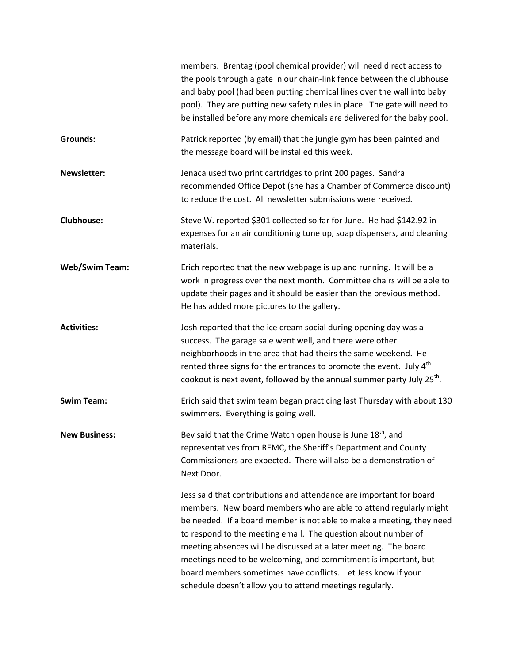|                       | members. Brentag (pool chemical provider) will need direct access to<br>the pools through a gate in our chain-link fence between the clubhouse<br>and baby pool (had been putting chemical lines over the wall into baby<br>pool). They are putting new safety rules in place. The gate will need to<br>be installed before any more chemicals are delivered for the baby pool.                                                                                                                                                                        |
|-----------------------|--------------------------------------------------------------------------------------------------------------------------------------------------------------------------------------------------------------------------------------------------------------------------------------------------------------------------------------------------------------------------------------------------------------------------------------------------------------------------------------------------------------------------------------------------------|
| <b>Grounds:</b>       | Patrick reported (by email) that the jungle gym has been painted and<br>the message board will be installed this week.                                                                                                                                                                                                                                                                                                                                                                                                                                 |
| <b>Newsletter:</b>    | Jenaca used two print cartridges to print 200 pages. Sandra<br>recommended Office Depot (she has a Chamber of Commerce discount)<br>to reduce the cost. All newsletter submissions were received.                                                                                                                                                                                                                                                                                                                                                      |
| <b>Clubhouse:</b>     | Steve W. reported \$301 collected so far for June. He had \$142.92 in<br>expenses for an air conditioning tune up, soap dispensers, and cleaning<br>materials.                                                                                                                                                                                                                                                                                                                                                                                         |
| <b>Web/Swim Team:</b> | Erich reported that the new webpage is up and running. It will be a<br>work in progress over the next month. Committee chairs will be able to<br>update their pages and it should be easier than the previous method.<br>He has added more pictures to the gallery.                                                                                                                                                                                                                                                                                    |
| <b>Activities:</b>    | Josh reported that the ice cream social during opening day was a<br>success. The garage sale went well, and there were other<br>neighborhoods in the area that had theirs the same weekend. He<br>rented three signs for the entrances to promote the event. July 4 <sup>th</sup><br>cookout is next event, followed by the annual summer party July 25 <sup>th</sup> .                                                                                                                                                                                |
| <b>Swim Team:</b>     | Erich said that swim team began practicing last Thursday with about 130<br>swimmers. Everything is going well.                                                                                                                                                                                                                                                                                                                                                                                                                                         |
| <b>New Business:</b>  | Bev said that the Crime Watch open house is June 18 <sup>th</sup> , and<br>representatives from REMC, the Sheriff's Department and County<br>Commissioners are expected. There will also be a demonstration of<br>Next Door.                                                                                                                                                                                                                                                                                                                           |
|                       | Jess said that contributions and attendance are important for board<br>members. New board members who are able to attend regularly might<br>be needed. If a board member is not able to make a meeting, they need<br>to respond to the meeting email. The question about number of<br>meeting absences will be discussed at a later meeting. The board<br>meetings need to be welcoming, and commitment is important, but<br>board members sometimes have conflicts. Let Jess know if your<br>schedule doesn't allow you to attend meetings regularly. |